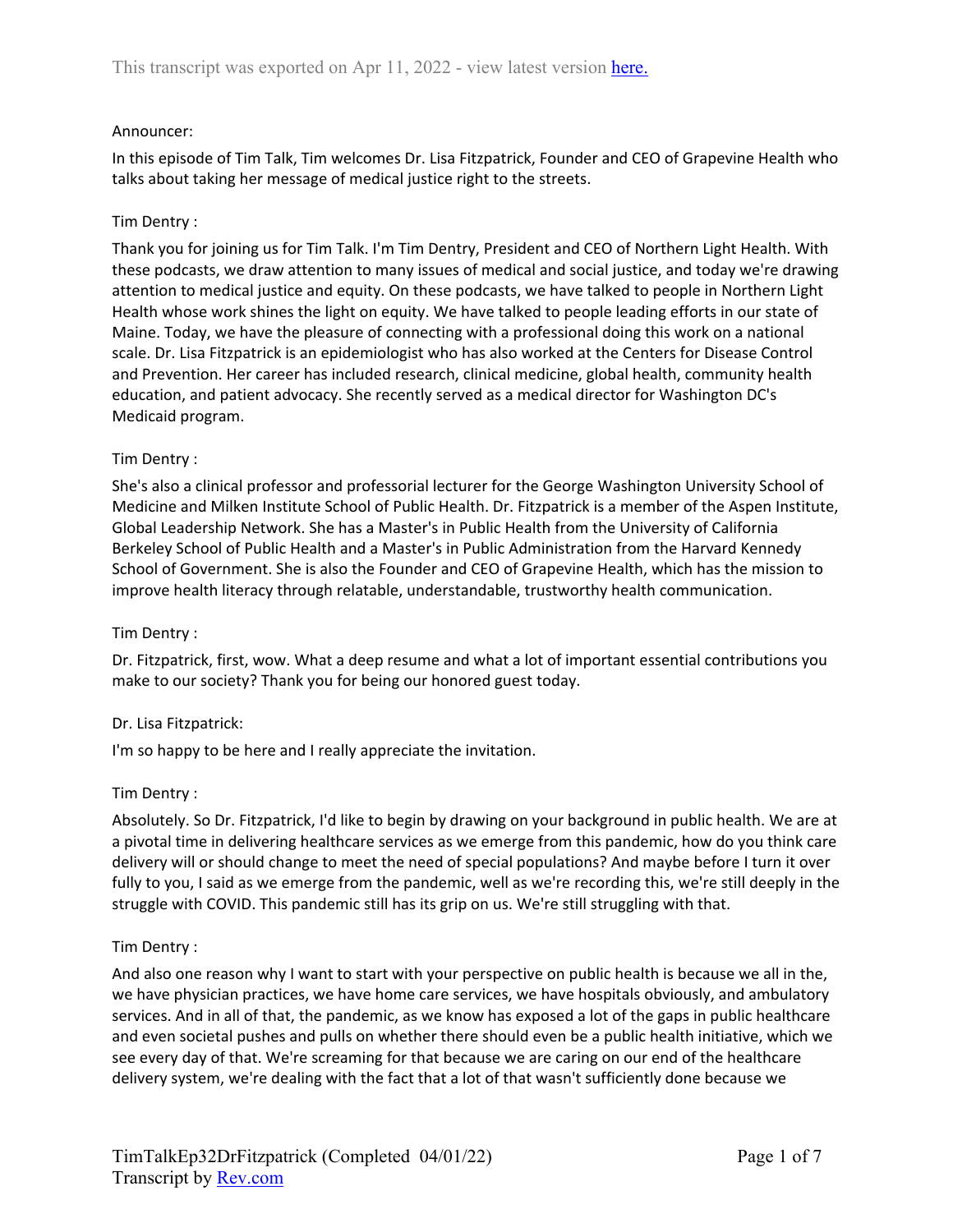### Announcer:

In this episode of Tim Talk, Tim welcomes Dr. Lisa Fitzpatrick, Founder and CEO of Grapevine Health who talks about taking her message of medical justice right to the streets.

### Tim Dentry :

Thank you for joining us for Tim Talk. I'm Tim Dentry, President and CEO of Northern Light Health. With these podcasts, we draw attention to many issues of medical and social justice, and today we're drawing attention to medical justice and equity. On these podcasts, we have talked to people in Northern Light Health whose work shines the light on equity. We have talked to people leading efforts in our state of Maine. Today, we have the pleasure of connecting with a professional doing this work on a national scale. Dr. Lisa Fitzpatrick is an epidemiologist who has also worked at the Centers for Disease Control and Prevention. Her career has included research, clinical medicine, global health, community health education, and patient advocacy. She recently served as a medical director for Washington DC's Medicaid program.

#### Tim Dentry :

She's also a clinical professor and professorial lecturer for the George Washington University School of Medicine and Milken Institute School of Public Health. Dr. Fitzpatrick is a member of the Aspen Institute, Global Leadership Network. She has a Master's in Public Health from the University of California Berkeley School of Public Health and a Master's in Public Administration from the Harvard Kennedy School of Government. She is also the Founder and CEO of Grapevine Health, which has the mission to improve health literacy through relatable, understandable, trustworthy health communication.

#### Tim Dentry :

Dr. Fitzpatrick, first, wow. What a deep resume and what a lot of important essential contributions you make to our society? Thank you for being our honored guest today.

#### Dr. Lisa Fitzpatrick:

I'm so happy to be here and I really appreciate the invitation.

#### Tim Dentry :

Absolutely. So Dr. Fitzpatrick, I'd like to begin by drawing on your background in public health. We are at a pivotal time in delivering healthcare services as we emerge from this pandemic, how do you think care delivery will or should change to meet the need of special populations? And maybe before I turn it over fully to you, I said as we emerge from the pandemic, well as we're recording this, we're still deeply in the struggle with COVID. This pandemic still has its grip on us. We're still struggling with that.

#### Tim Dentry :

And also one reason why I want to start with your perspective on public health is because we all in the, we have physician practices, we have home care services, we have hospitals obviously, and ambulatory services. And in all of that, the pandemic, as we know has exposed a lot of the gaps in public healthcare and even societal pushes and pulls on whether there should even be a public health initiative, which we see every day of that. We're screaming for that because we are caring on our end of the healthcare delivery system, we're dealing with the fact that a lot of that wasn't sufficiently done because we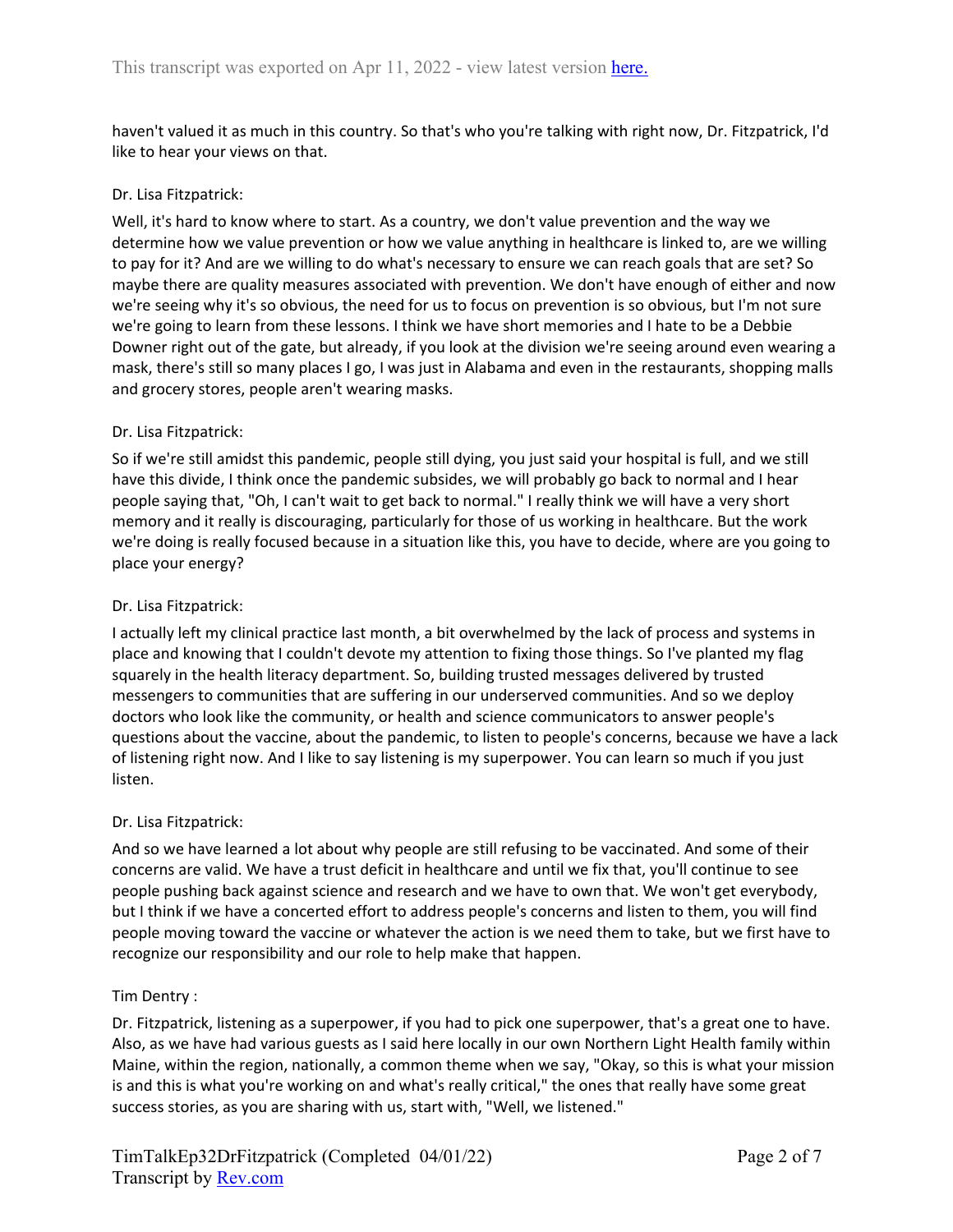haven't valued it as much in this country. So that's who you're talking with right now, Dr. Fitzpatrick, I'd like to hear your views on that.

### Dr. Lisa Fitzpatrick:

Well, it's hard to know where to start. As a country, we don't value prevention and the way we determine how we value prevention or how we value anything in healthcare is linked to, are we willing to pay for it? And are we willing to do what's necessary to ensure we can reach goals that are set? So maybe there are quality measures associated with prevention. We don't have enough of either and now we're seeing why it's so obvious, the need for us to focus on prevention is so obvious, but I'm not sure we're going to learn from these lessons. I think we have short memories and I hate to be a Debbie Downer right out of the gate, but already, if you look at the division we're seeing around even wearing a mask, there's still so many places I go, I was just in Alabama and even in the restaurants, shopping malls and grocery stores, people aren't wearing masks.

### Dr. Lisa Fitzpatrick:

So if we're still amidst this pandemic, people still dying, you just said your hospital is full, and we still have this divide, I think once the pandemic subsides, we will probably go back to normal and I hear people saying that, "Oh, I can't wait to get back to normal." I really think we will have a very short memory and it really is discouraging, particularly for those of us working in healthcare. But the work we're doing is really focused because in a situation like this, you have to decide, where are you going to place your energy?

### Dr. Lisa Fitzpatrick:

I actually left my clinical practice last month, a bit overwhelmed by the lack of process and systems in place and knowing that I couldn't devote my attention to fixing those things. So I've planted my flag squarely in the health literacy department. So, building trusted messages delivered by trusted messengers to communities that are suffering in our underserved communities. And so we deploy doctors who look like the community, or health and science communicators to answer people's questions about the vaccine, about the pandemic, to listen to people's concerns, because we have a lack of listening right now. And I like to say listening is my superpower. You can learn so much if you just listen.

#### Dr. Lisa Fitzpatrick:

And so we have learned a lot about why people are still refusing to be vaccinated. And some of their concerns are valid. We have a trust deficit in healthcare and until we fix that, you'll continue to see people pushing back against science and research and we have to own that. We won't get everybody, but I think if we have a concerted effort to address people's concerns and listen to them, you will find people moving toward the vaccine or whatever the action is we need them to take, but we first have to recognize our responsibility and our role to help make that happen.

#### Tim Dentry :

Dr. Fitzpatrick, listening as a superpower, if you had to pick one superpower, that's a great one to have. Also, as we have had various guests as I said here locally in our own Northern Light Health family within Maine, within the region, nationally, a common theme when we say, "Okay, so this is what your mission is and this is what you're working on and what's really critical," the ones that really have some great success stories, as you are sharing with us, start with, "Well, we listened."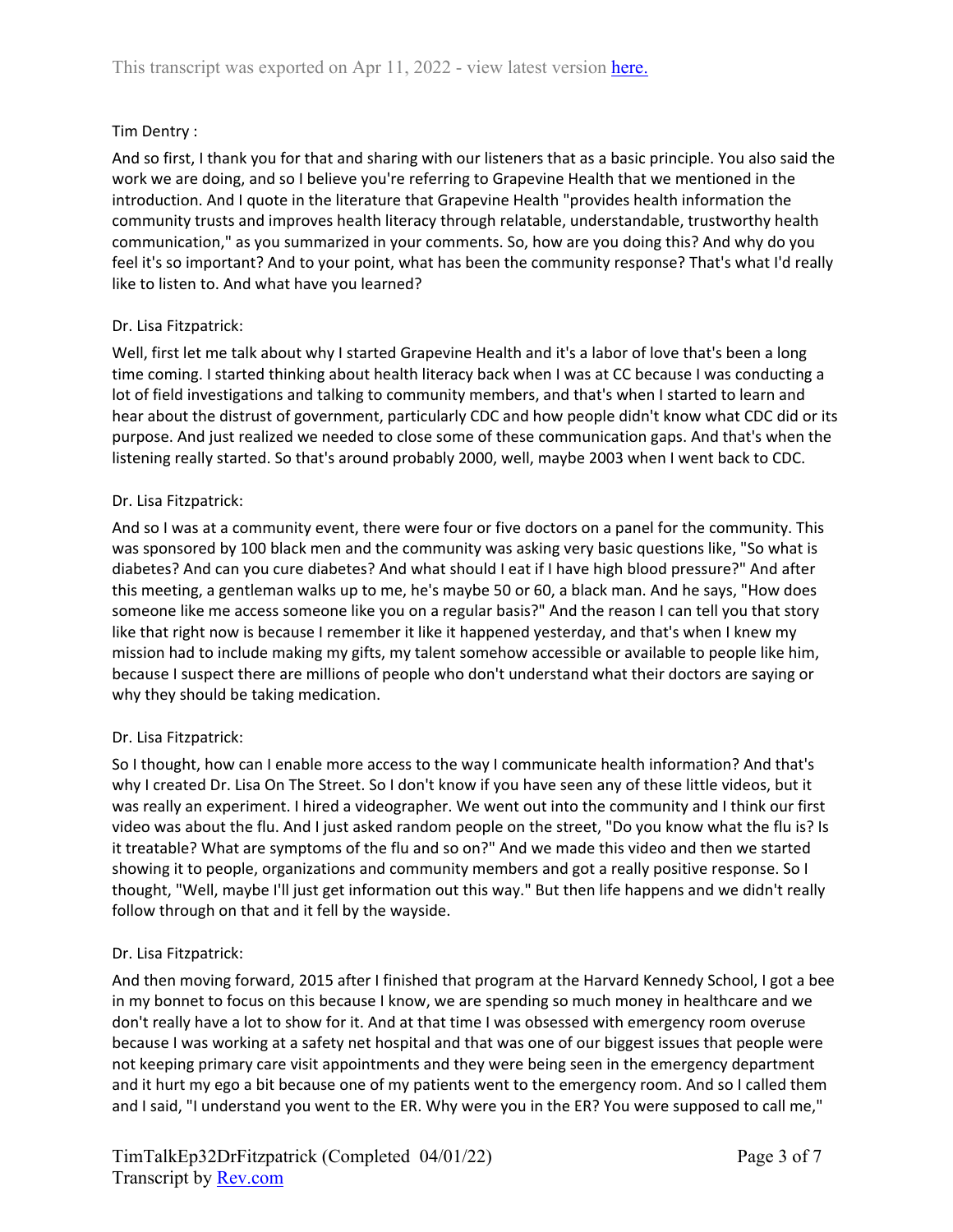# Tim Dentry :

And so first, I thank you for that and sharing with our listeners that as a basic principle. You also said the work we are doing, and so I believe you're referring to Grapevine Health that we mentioned in the introduction. And I quote in the literature that Grapevine Health "provides health information the community trusts and improves health literacy through relatable, understandable, trustworthy health communication," as you summarized in your comments. So, how are you doing this? And why do you feel it's so important? And to your point, what has been the community response? That's what I'd really like to listen to. And what have you learned?

## Dr. Lisa Fitzpatrick:

Well, first let me talk about why I started Grapevine Health and it's a labor of love that's been a long time coming. I started thinking about health literacy back when I was at CC because I was conducting a lot of field investigations and talking to community members, and that's when I started to learn and hear about the distrust of government, particularly CDC and how people didn't know what CDC did or its purpose. And just realized we needed to close some of these communication gaps. And that's when the listening really started. So that's around probably 2000, well, maybe 2003 when I went back to CDC.

## Dr. Lisa Fitzpatrick:

And so I was at a community event, there were four or five doctors on a panel for the community. This was sponsored by 100 black men and the community was asking very basic questions like, "So what is diabetes? And can you cure diabetes? And what should I eat if I have high blood pressure?" And after this meeting, a gentleman walks up to me, he's maybe 50 or 60, a black man. And he says, "How does someone like me access someone like you on a regular basis?" And the reason I can tell you that story like that right now is because I remember it like it happened yesterday, and that's when I knew my mission had to include making my gifts, my talent somehow accessible or available to people like him, because I suspect there are millions of people who don't understand what their doctors are saying or why they should be taking medication.

## Dr. Lisa Fitzpatrick:

So I thought, how can I enable more access to the way I communicate health information? And that's why I created Dr. Lisa On The Street. So I don't know if you have seen any of these little videos, but it was really an experiment. I hired a videographer. We went out into the community and I think our first video was about the flu. And I just asked random people on the street, "Do you know what the flu is? Is it treatable? What are symptoms of the flu and so on?" And we made this video and then we started showing it to people, organizations and community members and got a really positive response. So I thought, "Well, maybe I'll just get information out this way." But then life happens and we didn't really follow through on that and it fell by the wayside.

## Dr. Lisa Fitzpatrick:

And then moving forward, 2015 after I finished that program at the Harvard Kennedy School, I got a bee in my bonnet to focus on this because I know, we are spending so much money in healthcare and we don't really have a lot to show for it. And at that time I was obsessed with emergency room overuse because I was working at a safety net hospital and that was one of our biggest issues that people were not keeping primary care visit appointments and they were being seen in the emergency department and it hurt my ego a bit because one of my patients went to the emergency room. And so I called them and I said, "I understand you went to the ER. Why were you in the ER? You were supposed to call me,"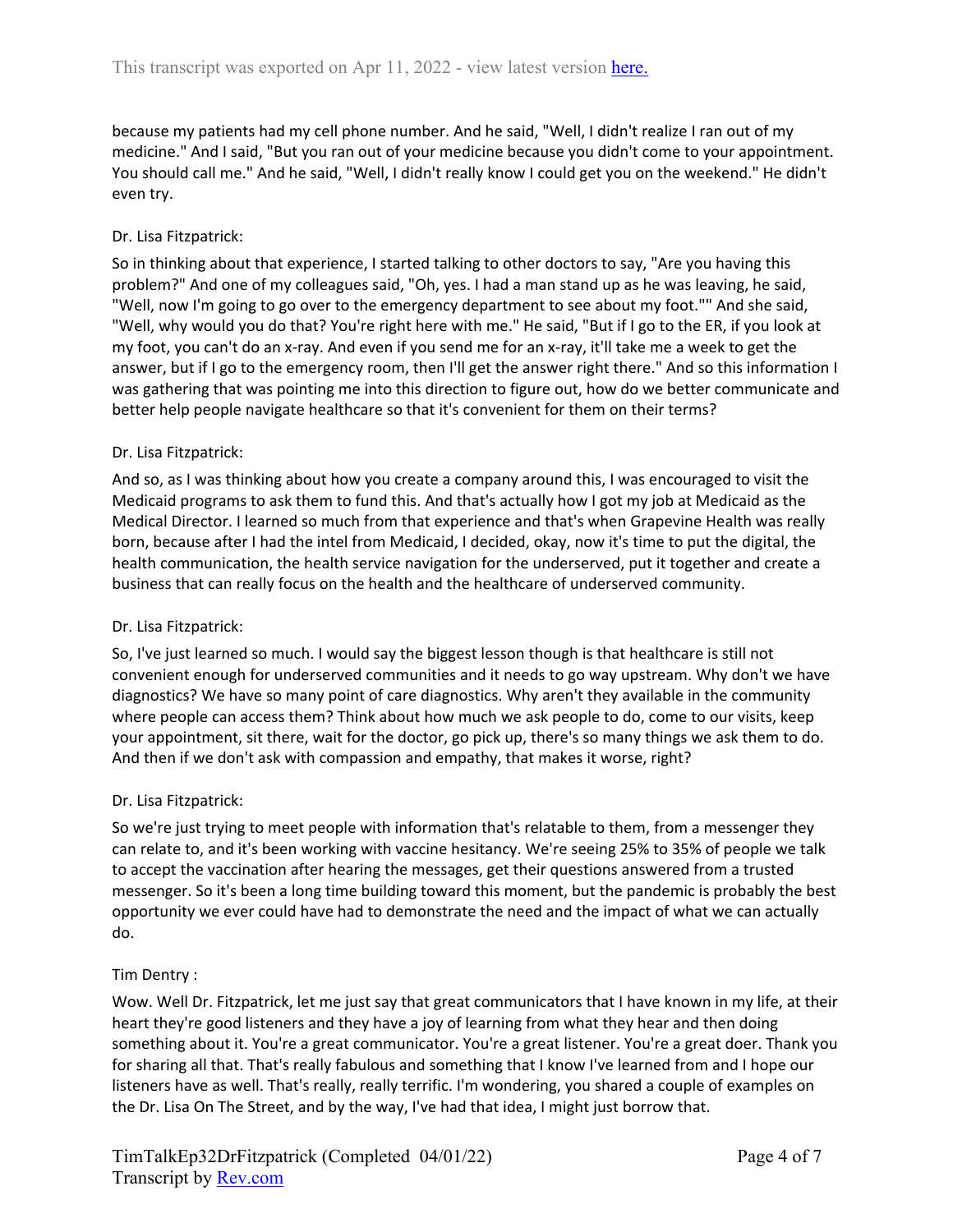because my patients had my cell phone number. And he said, "Well, I didn't realize I ran out of my medicine." And I said, "But you ran out of your medicine because you didn't come to your appointment. You should call me." And he said, "Well, I didn't really know I could get you on the weekend." He didn't even try.

# Dr. Lisa Fitzpatrick:

So in thinking about that experience, I started talking to other doctors to say, "Are you having this problem?" And one of my colleagues said, "Oh, yes. I had a man stand up as he was leaving, he said, "Well, now I'm going to go over to the emergency department to see about my foot."" And she said, "Well, why would you do that? You're right here with me." He said, "But if I go to the ER, if you look at my foot, you can't do an x-ray. And even if you send me for an x-ray, it'll take me a week to get the answer, but if I go to the emergency room, then I'll get the answer right there." And so this information I was gathering that was pointing me into this direction to figure out, how do we better communicate and better help people navigate healthcare so that it's convenient for them on their terms?

## Dr. Lisa Fitzpatrick:

And so, as I was thinking about how you create a company around this, I was encouraged to visit the Medicaid programs to ask them to fund this. And that's actually how I got my job at Medicaid as the Medical Director. I learned so much from that experience and that's when Grapevine Health was really born, because after I had the intel from Medicaid, I decided, okay, now it's time to put the digital, the health communication, the health service navigation for the underserved, put it together and create a business that can really focus on the health and the healthcare of underserved community.

## Dr. Lisa Fitzpatrick:

So, I've just learned so much. I would say the biggest lesson though is that healthcare is still not convenient enough for underserved communities and it needs to go way upstream. Why don't we have diagnostics? We have so many point of care diagnostics. Why aren't they available in the community where people can access them? Think about how much we ask people to do, come to our visits, keep your appointment, sit there, wait for the doctor, go pick up, there's so many things we ask them to do. And then if we don't ask with compassion and empathy, that makes it worse, right?

## Dr. Lisa Fitzpatrick:

So we're just trying to meet people with information that's relatable to them, from a messenger they can relate to, and it's been working with vaccine hesitancy. We're seeing 25% to 35% of people we talk to accept the vaccination after hearing the messages, get their questions answered from a trusted messenger. So it's been a long time building toward this moment, but the pandemic is probably the best opportunity we ever could have had to demonstrate the need and the impact of what we can actually do.

## Tim Dentry :

Wow. Well Dr. Fitzpatrick, let me just say that great communicators that I have known in my life, at their heart they're good listeners and they have a joy of learning from what they hear and then doing something about it. You're a great communicator. You're a great listener. You're a great doer. Thank you for sharing all that. That's really fabulous and something that I know I've learned from and I hope our listeners have as well. That's really, really terrific. I'm wondering, you shared a couple of examples on the Dr. Lisa On The Street, and by the way, I've had that idea, I might just borrow that.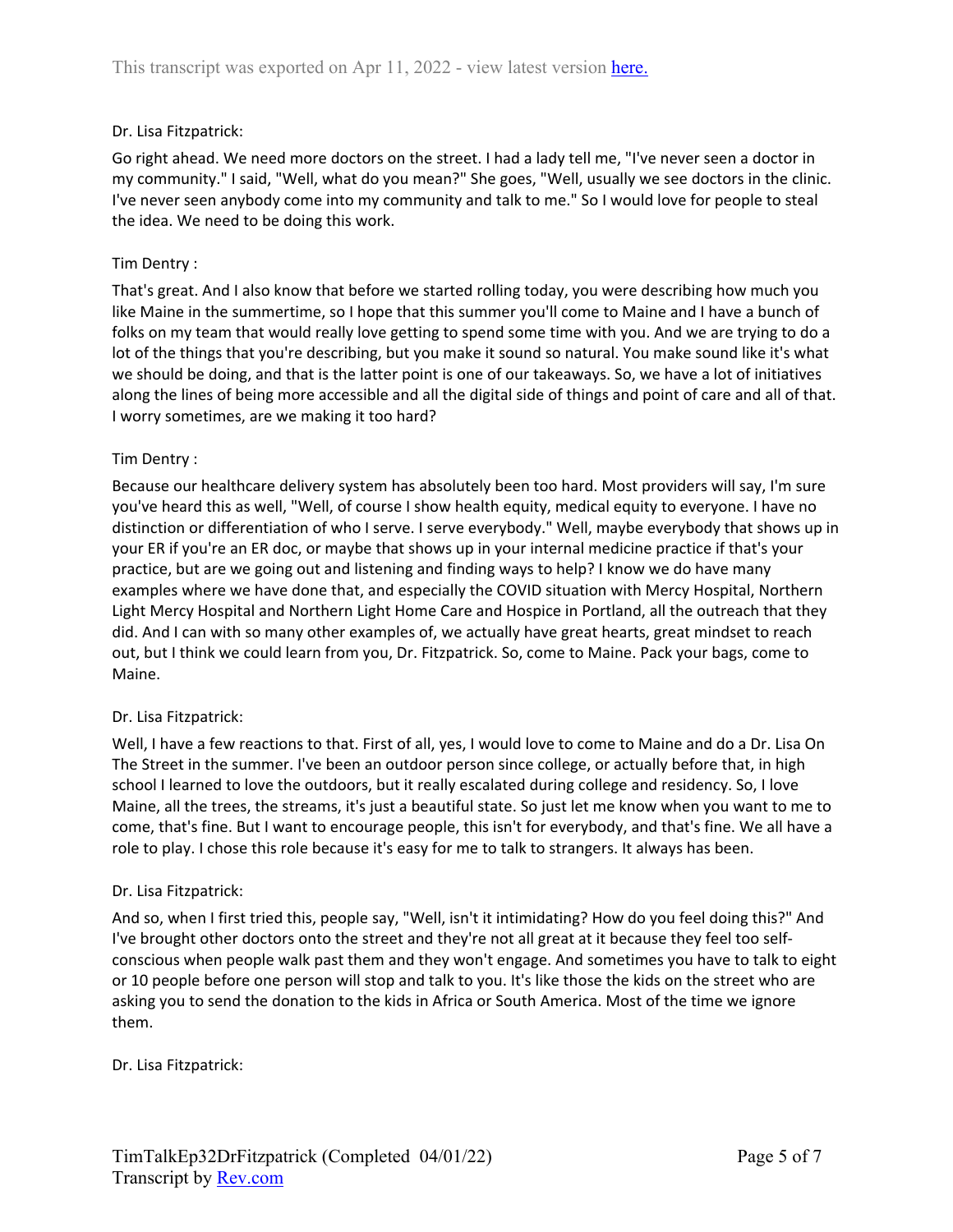## Dr. Lisa Fitzpatrick:

Go right ahead. We need more doctors on the street. I had a lady tell me, "I've never seen a doctor in my community." I said, "Well, what do you mean?" She goes, "Well, usually we see doctors in the clinic. I've never seen anybody come into my community and talk to me." So I would love for people to steal the idea. We need to be doing this work.

### Tim Dentry :

That's great. And I also know that before we started rolling today, you were describing how much you like Maine in the summertime, so I hope that this summer you'll come to Maine and I have a bunch of folks on my team that would really love getting to spend some time with you. And we are trying to do a lot of the things that you're describing, but you make it sound so natural. You make sound like it's what we should be doing, and that is the latter point is one of our takeaways. So, we have a lot of initiatives along the lines of being more accessible and all the digital side of things and point of care and all of that. I worry sometimes, are we making it too hard?

### Tim Dentry :

Because our healthcare delivery system has absolutely been too hard. Most providers will say, I'm sure you've heard this as well, "Well, of course I show health equity, medical equity to everyone. I have no distinction or differentiation of who I serve. I serve everybody." Well, maybe everybody that shows up in your ER if you're an ER doc, or maybe that shows up in your internal medicine practice if that's your practice, but are we going out and listening and finding ways to help? I know we do have many examples where we have done that, and especially the COVID situation with Mercy Hospital, Northern Light Mercy Hospital and Northern Light Home Care and Hospice in Portland, all the outreach that they did. And I can with so many other examples of, we actually have great hearts, great mindset to reach out, but I think we could learn from you, Dr. Fitzpatrick. So, come to Maine. Pack your bags, come to Maine.

#### Dr. Lisa Fitzpatrick:

Well, I have a few reactions to that. First of all, yes, I would love to come to Maine and do a Dr. Lisa On The Street in the summer. I've been an outdoor person since college, or actually before that, in high school I learned to love the outdoors, but it really escalated during college and residency. So, I love Maine, all the trees, the streams, it's just a beautiful state. So just let me know when you want to me to come, that's fine. But I want to encourage people, this isn't for everybody, and that's fine. We all have a role to play. I chose this role because it's easy for me to talk to strangers. It always has been.

#### Dr. Lisa Fitzpatrick:

And so, when I first tried this, people say, "Well, isn't it intimidating? How do you feel doing this?" And I've brought other doctors onto the street and they're not all great at it because they feel too selfconscious when people walk past them and they won't engage. And sometimes you have to talk to eight or 10 people before one person will stop and talk to you. It's like those the kids on the street who are asking you to send the donation to the kids in Africa or South America. Most of the time we ignore them.

Dr. Lisa Fitzpatrick: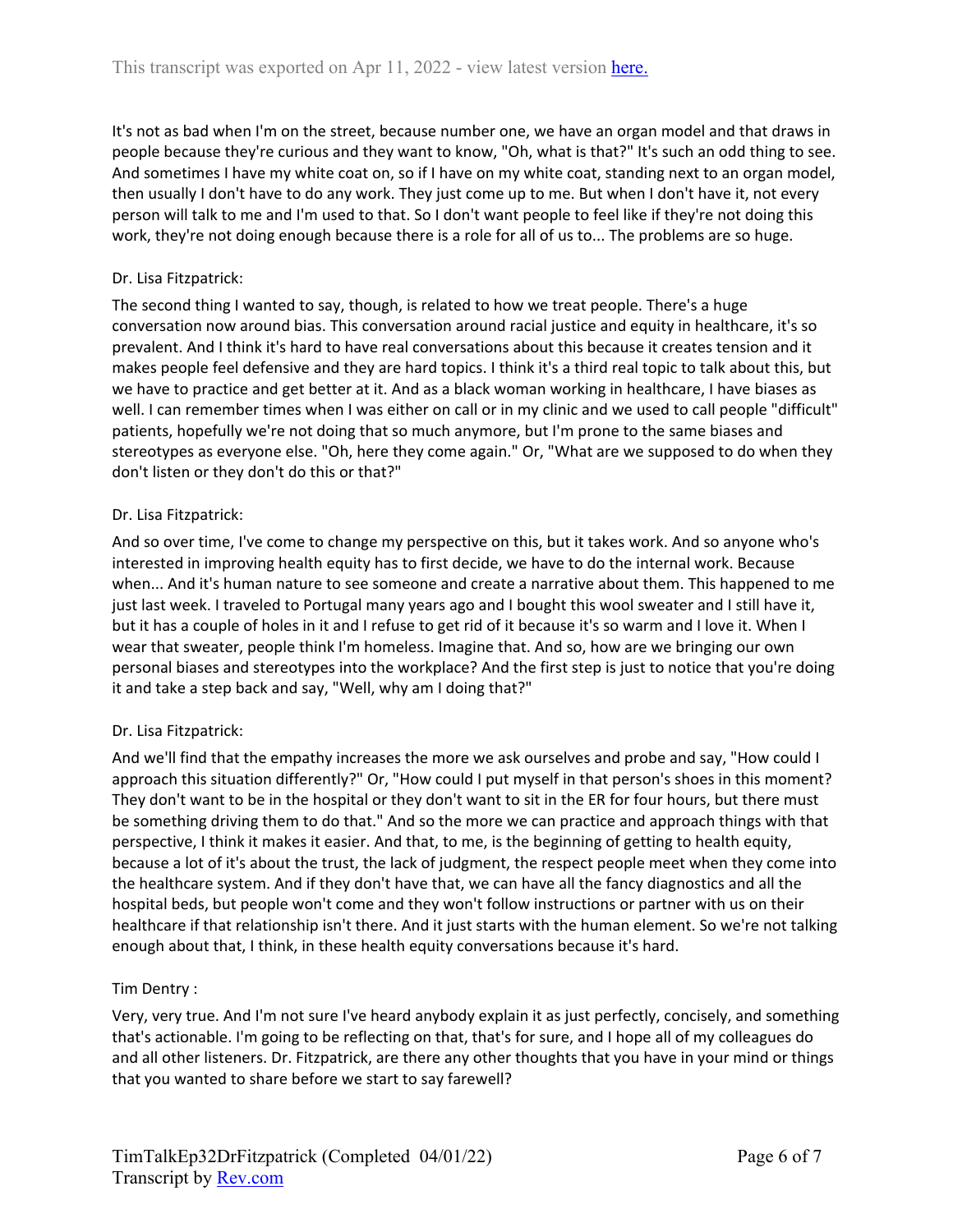It's not as bad when I'm on the street, because number one, we have an organ model and that draws in people because they're curious and they want to know, "Oh, what is that?" It's such an odd thing to see. And sometimes I have my white coat on, so if I have on my white coat, standing next to an organ model, then usually I don't have to do any work. They just come up to me. But when I don't have it, not every person will talk to me and I'm used to that. So I don't want people to feel like if they're not doing this work, they're not doing enough because there is a role for all of us to... The problems are so huge.

# Dr. Lisa Fitzpatrick:

The second thing I wanted to say, though, is related to how we treat people. There's a huge conversation now around bias. This conversation around racial justice and equity in healthcare, it's so prevalent. And I think it's hard to have real conversations about this because it creates tension and it makes people feel defensive and they are hard topics. I think it's a third real topic to talk about this, but we have to practice and get better at it. And as a black woman working in healthcare, I have biases as well. I can remember times when I was either on call or in my clinic and we used to call people "difficult" patients, hopefully we're not doing that so much anymore, but I'm prone to the same biases and stereotypes as everyone else. "Oh, here they come again." Or, "What are we supposed to do when they don't listen or they don't do this or that?"

## Dr. Lisa Fitzpatrick:

And so over time, I've come to change my perspective on this, but it takes work. And so anyone who's interested in improving health equity has to first decide, we have to do the internal work. Because when... And it's human nature to see someone and create a narrative about them. This happened to me just last week. I traveled to Portugal many years ago and I bought this wool sweater and I still have it, but it has a couple of holes in it and I refuse to get rid of it because it's so warm and I love it. When I wear that sweater, people think I'm homeless. Imagine that. And so, how are we bringing our own personal biases and stereotypes into the workplace? And the first step is just to notice that you're doing it and take a step back and say, "Well, why am I doing that?"

## Dr. Lisa Fitzpatrick:

And we'll find that the empathy increases the more we ask ourselves and probe and say, "How could I approach this situation differently?" Or, "How could I put myself in that person's shoes in this moment? They don't want to be in the hospital or they don't want to sit in the ER for four hours, but there must be something driving them to do that." And so the more we can practice and approach things with that perspective, I think it makes it easier. And that, to me, is the beginning of getting to health equity, because a lot of it's about the trust, the lack of judgment, the respect people meet when they come into the healthcare system. And if they don't have that, we can have all the fancy diagnostics and all the hospital beds, but people won't come and they won't follow instructions or partner with us on their healthcare if that relationship isn't there. And it just starts with the human element. So we're not talking enough about that, I think, in these health equity conversations because it's hard.

## Tim Dentry :

Very, very true. And I'm not sure I've heard anybody explain it as just perfectly, concisely, and something that's actionable. I'm going to be reflecting on that, that's for sure, and I hope all of my colleagues do and all other listeners. Dr. Fitzpatrick, are there any other thoughts that you have in your mind or things that you wanted to share before we start to say farewell?